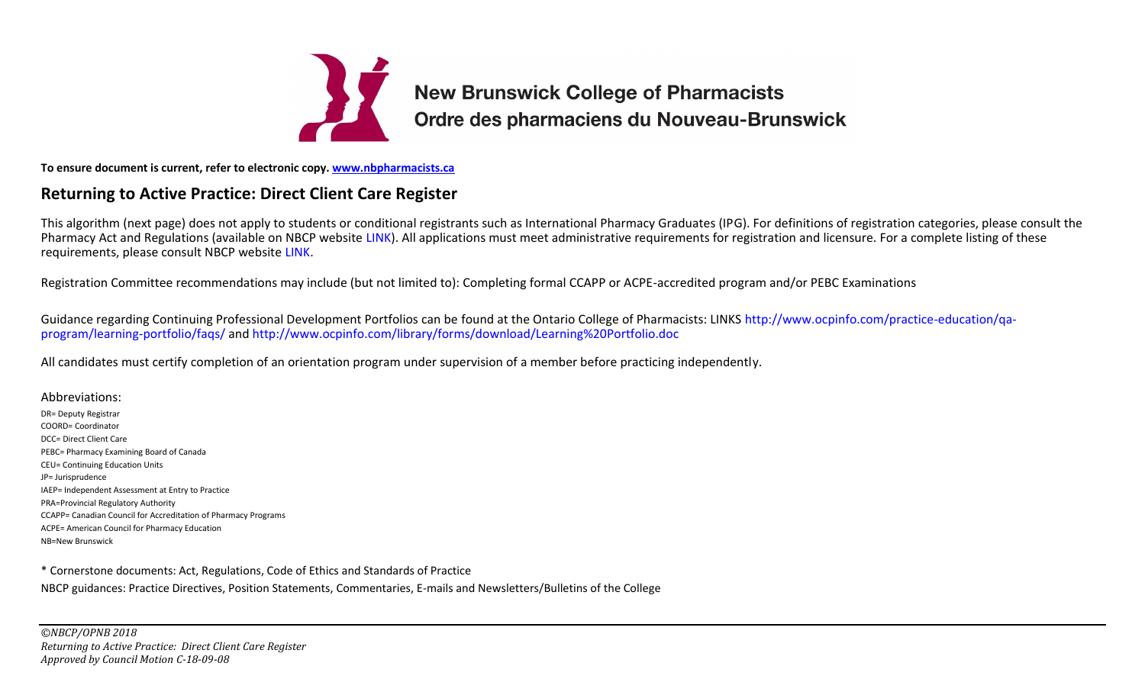

## **To ensure document is current, refer to electronic copy. [www.nbpharmacists.ca](http://www.nbpharmacists.ca/)**

## **Returning to Active Practice: Direct Client Care Register**

This algorithm (next page) does not apply to students or conditional registrants such as International Pharmacy Graduates (IPG). For definitions of registration categories, please consult the Pharmacy Act and Regulations (available on NBCP website [LINK\)](http://www.nbpharmacists.ca/). All applications must meet administrative requirements for registration and licensure. For a complete listing of these requirements, please consult NBCP website [LINK.](http://www.nbpharmacists.ca/site/about-pharmacist)

Registration Committee recommendations may include (but not limited to): Completing formal CCAPP or ACPE-accredited program and/or PEBC Examinations

Guidance regarding Continuing Professional Development Portfolios can be found at the Ontario College of Pharmacists: LINKS [http://www.ocpinfo.com/practice-education/qa](http://www.ocpinfo.com/practice-education/qa-program/learning-portfolio/faqs/)[program/learning-portfolio/faqs/](http://www.ocpinfo.com/practice-education/qa-program/learning-portfolio/faqs/) and<http://www.ocpinfo.com/library/forms/download/Learning%20Portfolio.doc>

All candidates must certify completion of an orientation program under supervision of a member before practicing independently.

Abbreviations: DR= Deputy Registrar COORD= Coordinator DCC= Direct Client Care PEBC= Pharmacy Examining Board of Canada CEU= Continuing Education Units JP= Jurisprudence IAEP= Independent Assessment at Entry to Practice PRA=Provincial Regulatory Authority CCAPP= Canadian Council for Accreditation of Pharmacy Programs ACPE= American Council for Pharmacy Education NB=New Brunswick

\* Cornerstone documents: Act, Regulations, Code of Ethics and Standards of Practice NBCP guidances: Practice Directives, Position Statements, Commentaries, E-mails and Newsletters/Bulletins of the College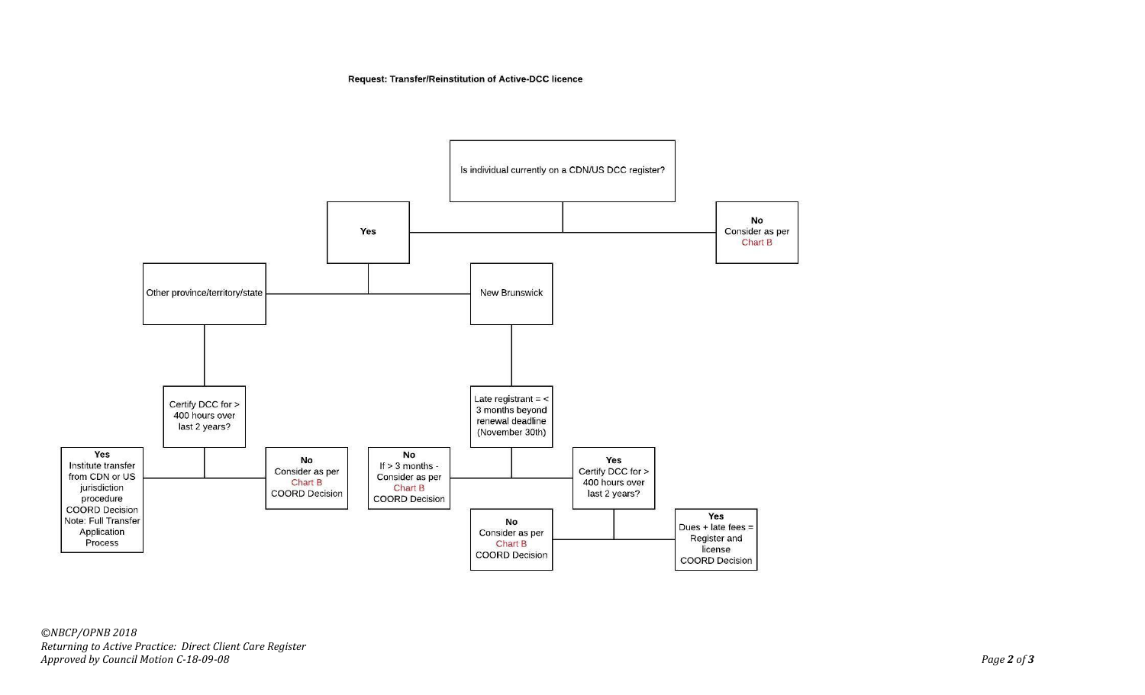Request: Transfer/Reinstitution of Active-DCC licence